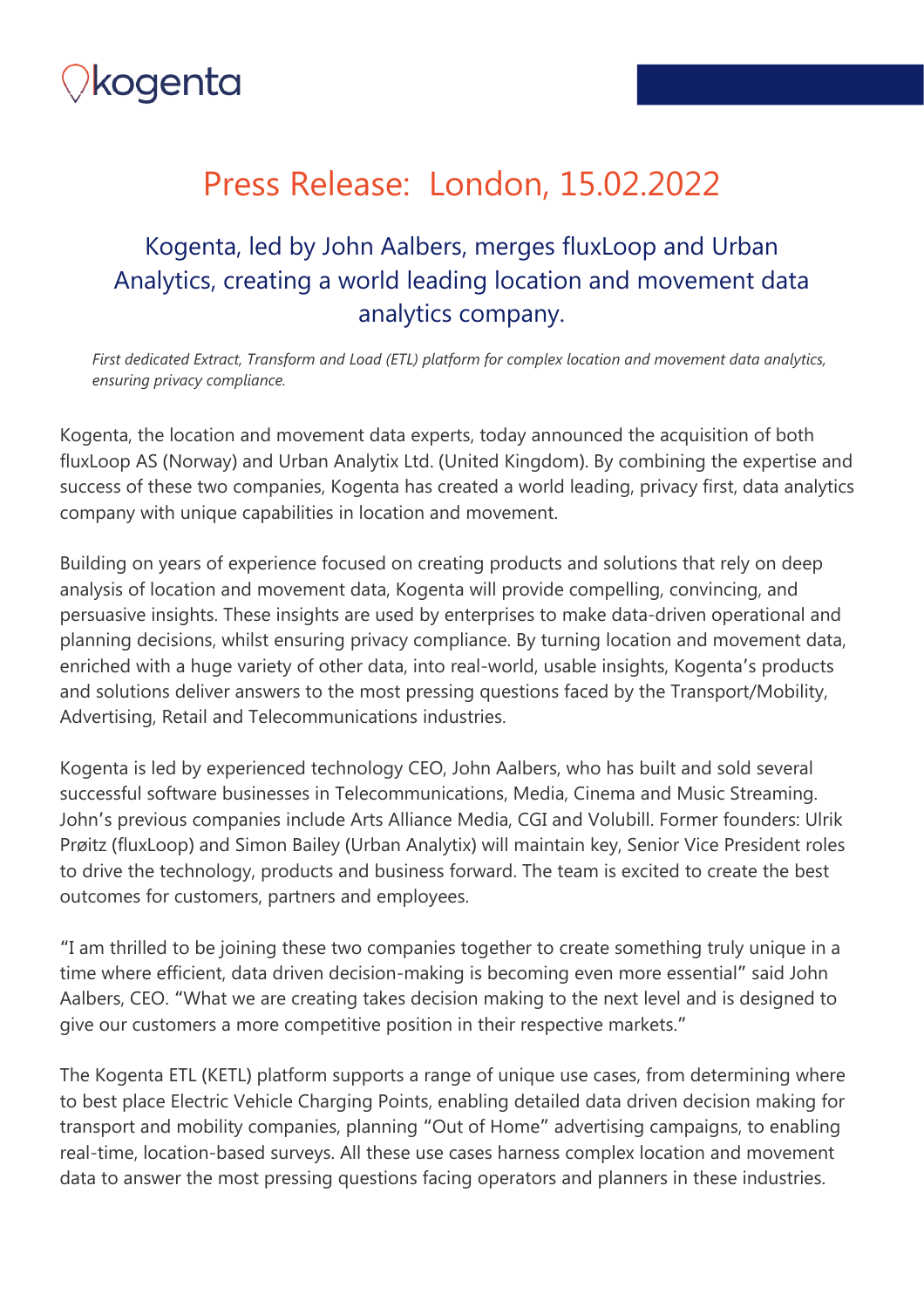

# Press Release: London, 15.02.2022

#### Kogenta, led by John Aalbers, merges fluxLoop and Urban Analytics, creating a world leading location and movement data analytics company.

*First dedicated Extract, Transform and Load (ETL) platform for complex location and movement data analytics, ensuring privacy compliance.*

Kogenta, the location and movement data experts, today announced the acquisition of both fluxLoop AS (Norway) and Urban Analytix Ltd. (United Kingdom). By combining the expertise and success of these two companies, Kogenta has created a world leading, privacy first, data analytics company with unique capabilities in location and movement.

Building on years of experience focused on creating products and solutions that rely on deep analysis of location and movement data, Kogenta will provide compelling, convincing, and persuasive insights. These insights are used by enterprises to make data-driven operational and planning decisions, whilst ensuring privacy compliance. By turning location and movement data, enriched with a huge variety of other data, into real-world, usable insights, Kogenta's products and solutions deliver answers to the most pressing questions faced by the Transport/Mobility, Advertising, Retail and Telecommunications industries.

Kogenta is led by experienced technology CEO, John Aalbers, who has built and sold several successful software businesses in Telecommunications, Media, Cinema and Music Streaming. John's previous companies include Arts Alliance Media, CGI and Volubill. Former founders: Ulrik Prøitz (fluxLoop) and Simon Bailey (Urban Analytix) will maintain key, Senior Vice President roles to drive the technology, products and business forward. The team is excited to create the best outcomes for customers, partners and employees.

"I am thrilled to be joining these two companies together to create something truly unique in a time where efficient, data driven decision-making is becoming even more essential" said John Aalbers, CEO. "What we are creating takes decision making to the next level and is designed to give our customers a more competitive position in their respective markets."

The Kogenta ETL (KETL) platform supports a range of unique use cases, from determining where to best place Electric Vehicle Charging Points, enabling detailed data driven decision making for transport and mobility companies, planning "Out of Home" advertising campaigns, to enabling real-time, location-based surveys. All these use cases harness complex location and movement data to answer the most pressing questions facing operators and planners in these industries.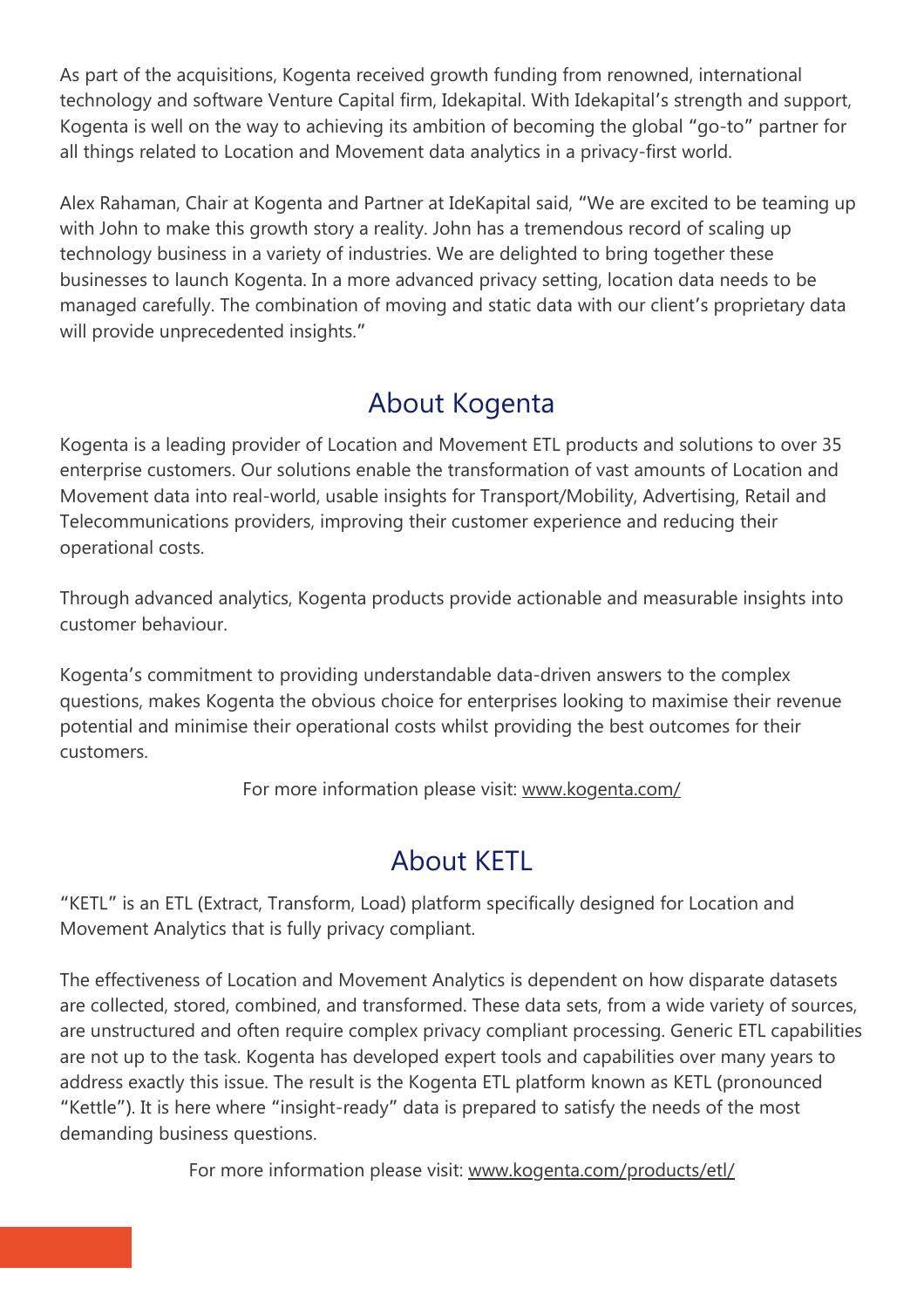As part of the acquisitions, Kogenta received growth funding from renowned, international technology and software Venture Capital firm, Idekapital. With Idekapital's strength and support, Kogenta is well on the way to achieving its ambition of becoming the global "go-to" partner for all things related to Location and Movement data analytics in a privacy-first world.

Alex Rahaman, Chair at Kogenta and Partner at IdeKapital said, "We are excited to be teaming up with John to make this growth story a reality. John has a tremendous record of scaling up technology business in a variety of industries. We are delighted to bring together these businesses to launch Kogenta. In a more advanced privacy setting, location data needs to be managed carefully. The combination of moving and static data with our client's proprietary data will provide unprecedented insights."

## About Kogenta

Kogenta is a leading provider of Location and Movement ETL products and solutions to over 35 enterprise customers. Our solutions enable the transformation of vast amounts of Location and Movement data into real-world, usable insights for Transport/Mobility, Advertising, Retail and Telecommunications providers, improving their customer experience and reducing their operational costs.

Through advanced analytics, Kogenta products provide actionable and measurable insights into customer behaviour.

Kogenta's commitment to providing understandable data-driven answers to the complex questions, makes Kogenta the obvious choice for enterprises looking to maximise their revenue potential and minimise their operational costs whilst providing the best outcomes for their customers.

For more information please visit: [www.kogenta.com/](http://www.kogenta.com/)

#### About KETL

"KETL" is an ETL (Extract, Transform, Load) platform specifically designed for Location and Movement Analytics that is fully privacy compliant.

The effectiveness of Location and Movement Analytics is dependent on how disparate datasets are collected, stored, combined, and transformed. These data sets, from a wide variety of sources, are unstructured and often require complex privacy compliant processing. Generic ETL capabilities are not up to the task. Kogenta has developed expert tools and capabilities over many years to address exactly this issue. The result is the Kogenta ETL platform known as KETL (pronounced "Kettle"). It is here where "insight-ready" data is prepared to satisfy the needs of the most demanding business questions.

For more information please visit: www.kogenta.com/products/etl/